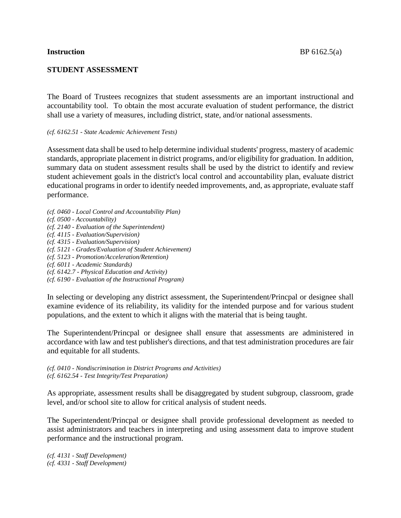## **STUDENT ASSESSMENT**

The Board of Trustees recognizes that student assessments are an important instructional and accountability tool. To obtain the most accurate evaluation of student performance, the district shall use a variety of measures, including district, state, and/or national assessments.

### *(cf. 6162.51 - State Academic Achievement Tests)*

Assessment data shall be used to help determine individual students' progress, mastery of academic standards, appropriate placement in district programs, and/or eligibility for graduation. In addition, summary data on student assessment results shall be used by the district to identify and review student achievement goals in the district's local control and accountability plan, evaluate district educational programs in order to identify needed improvements, and, as appropriate, evaluate staff performance.

- *(cf. 0460 - Local Control and Accountability Plan)*
- *(cf. 0500 - Accountability)*
- *(cf. 2140 - Evaluation of the Superintendent)*
- *(cf. 4115 - Evaluation/Supervision)*
- *(cf. 4315 - Evaluation/Supervision)*
- *(cf. 5121 - Grades/Evaluation of Student Achievement)*
- *(cf. 5123 - Promotion/Acceleration/Retention)*
- *(cf. 6011 - Academic Standards)*
- *(cf. 6142.7 - Physical Education and Activity)*
- *(cf. 6190 - Evaluation of the Instructional Program)*

In selecting or developing any district assessment, the Superintendent/Princpal or designee shall examine evidence of its reliability, its validity for the intended purpose and for various student populations, and the extent to which it aligns with the material that is being taught.

The Superintendent/Princpal or designee shall ensure that assessments are administered in accordance with law and test publisher's directions, and that test administration procedures are fair and equitable for all students.

*(cf. 0410 - Nondiscrimination in District Programs and Activities) (cf. 6162.54 - Test Integrity/Test Preparation)*

As appropriate, assessment results shall be disaggregated by student subgroup, classroom, grade level, and/or school site to allow for critical analysis of student needs.

The Superintendent/Princpal or designee shall provide professional development as needed to assist administrators and teachers in interpreting and using assessment data to improve student performance and the instructional program.

*(cf. 4131 - Staff Development) (cf. 4331 - Staff Development)*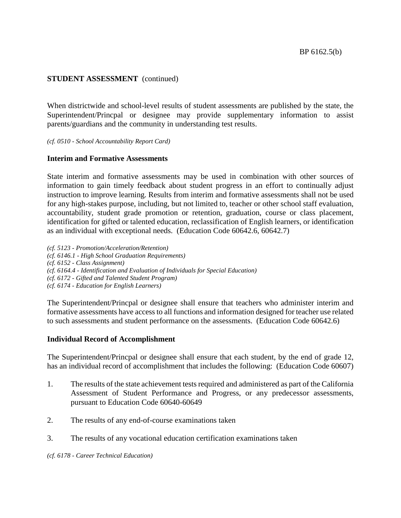# **STUDENT ASSESSMENT** (continued)

When districtwide and school-level results of student assessments are published by the state, the Superintendent/Princpal or designee may provide supplementary information to assist parents/guardians and the community in understanding test results.

*(cf. 0510 - School Accountability Report Card)*

## **Interim and Formative Assessments**

State interim and formative assessments may be used in combination with other sources of information to gain timely feedback about student progress in an effort to continually adjust instruction to improve learning. Results from interim and formative assessments shall not be used for any high-stakes purpose, including, but not limited to, teacher or other school staff evaluation, accountability, student grade promotion or retention, graduation, course or class placement, identification for gifted or talented education, reclassification of English learners, or identification as an individual with exceptional needs. (Education Code 60642.6, 60642.7)

*(cf. 5123 - Promotion/Acceleration/Retention) (cf. 6146.1 - High School Graduation Requirements) (cf. 6152 - Class Assignment) (cf. 6164.4 - Identification and Evaluation of Individuals for Special Education) (cf. 6172 - Gifted and Talented Student Program) (cf. 6174 - Education for English Learners)*

The Superintendent/Princpal or designee shall ensure that teachers who administer interim and formative assessments have accessto all functions and information designed for teacher use related to such assessments and student performance on the assessments. (Education Code 60642.6)

## **Individual Record of Accomplishment**

The Superintendent/Princpal or designee shall ensure that each student, by the end of grade 12, has an individual record of accomplishment that includes the following: (Education Code 60607)

- 1. The results of the state achievement tests required and administered as part of the California Assessment of Student Performance and Progress, or any predecessor assessments, pursuant to Education Code 60640-60649
- 2. The results of any end-of-course examinations taken
- 3. The results of any vocational education certification examinations taken

*(cf. 6178 - Career Technical Education)*